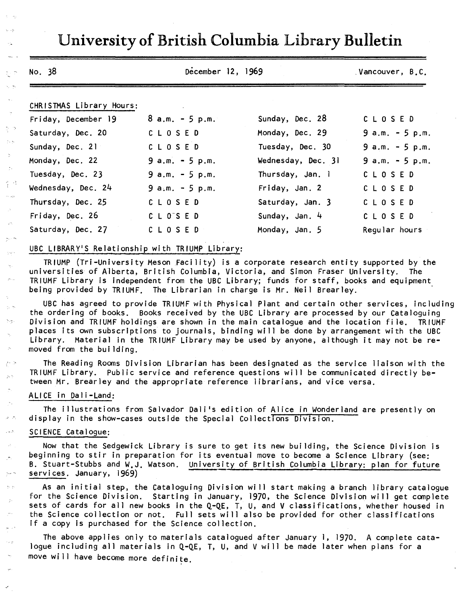|                          | December 12, 1969                                                                      |                                                                                                                                                                                                                                                                                  | Vancouver, B.C.   |
|--------------------------|----------------------------------------------------------------------------------------|----------------------------------------------------------------------------------------------------------------------------------------------------------------------------------------------------------------------------------------------------------------------------------|-------------------|
| CHRISTMAS Library Hours: |                                                                                        |                                                                                                                                                                                                                                                                                  |                   |
| Friday, December 19      | $8 a.m. - 5 p.m.$                                                                      | Sunday, Dec. 28                                                                                                                                                                                                                                                                  | CLOSED            |
| Saturday, Dec. 20        | CLOSED                                                                                 | Monday, Dec. 29                                                                                                                                                                                                                                                                  | $9 a.m. - 5 p.m.$ |
| Sunday, Dec. 21          | CLOSED                                                                                 | Tuesday, Dec. 30                                                                                                                                                                                                                                                                 | $9 a.m. - 5 p.m.$ |
| Monday, Dec. 22          | $9 a.m. - 5 p.m.$                                                                      | Wednesday, Dec. 31                                                                                                                                                                                                                                                               | $9 a.m. - 5 p.m.$ |
| Tuesday, Dec. 23         | $9 a.m. - 5 p.m.$                                                                      | Thursday, Jan. 1                                                                                                                                                                                                                                                                 | CLOSED            |
| Wednesday, Dec. 24       | $9$ a.m. $-5$ p.m.                                                                     | Friday, Jan. 2                                                                                                                                                                                                                                                                   | CLOSED            |
| Thursday, Dec. 25        | CLOSED                                                                                 | Saturday, Jan. 3                                                                                                                                                                                                                                                                 | CLOSED            |
| Friday, Dec. 26          | C L O'S E D                                                                            | Sunday, Jan. 4                                                                                                                                                                                                                                                                   | CLOSED            |
| Saturday, Dec. 27        | CLOSED                                                                                 | Monday, Jan. 5                                                                                                                                                                                                                                                                   | Regular hours     |
|                          | UBC LIBRARY'S Relationship with TRIUMP Library:                                        |                                                                                                                                                                                                                                                                                  |                   |
| moved from the building. |                                                                                        | places its own subscriptions to journals, binding will be done by arrangement with the UBC<br>Library. Material in the TRIUMF Library may be used by anyone, although it may not be re-                                                                                          |                   |
|                          |                                                                                        | The Reading Rooms Division Librarian has been designated as the service liaison with the<br>TRIUMF Library. Public service and reference questions will be communicated directly be-<br>tween Mr. Brearley and the appropriate reference librarians, and vice versa.             |                   |
| ALICE in Dali-Land:      |                                                                                        |                                                                                                                                                                                                                                                                                  |                   |
|                          | The illustrations from Salvador Dali's edition of Alice in Wonderland are presently on |                                                                                                                                                                                                                                                                                  |                   |
|                          | display in the show-cases outside the Special Collections Division.                    |                                                                                                                                                                                                                                                                                  |                   |
| SCIENCE Catalogue:       |                                                                                        |                                                                                                                                                                                                                                                                                  |                   |
| services. January, 1969) |                                                                                        | Now that the Sedgewick Library is sure to get its new building, the Science Division is<br>beginning to stir in preparation for its eventual move to become a Science Library (see:<br>B. Stuart-Stubbs and W.J. Watson. University of British Columbia Library: plan for future |                   |

 $\tau=\tau_0$  $\gamma \rightarrow$  $\sim$   $\sim$